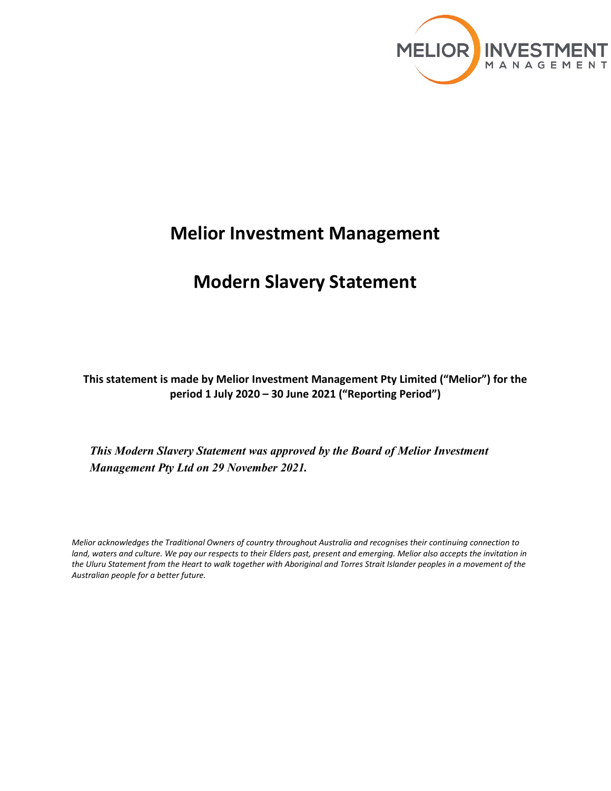

# **Melior Investment Management**

# **Modern Slavery Statement**

**This statement is made by Melior Investment Management Pty Limited ("Melior") for the period 1 July 2020 – 30 June 2021 ("Reporting Period")**

*This Modern Slavery Statement was approved by the Board of Melior Investment Management Pty Ltd on 29 November 2021.*

*Melior acknowledges the Traditional Owners of country throughout Australia and recognises their continuing connection to land, waters and culture. We pay our respects to their Elders past, present and emerging. Melior also accepts the invitation in the Uluru Statement from the Heart to walk together with Aboriginal and Torres Strait Islander peoples in a movement of the Australian people for a better future.*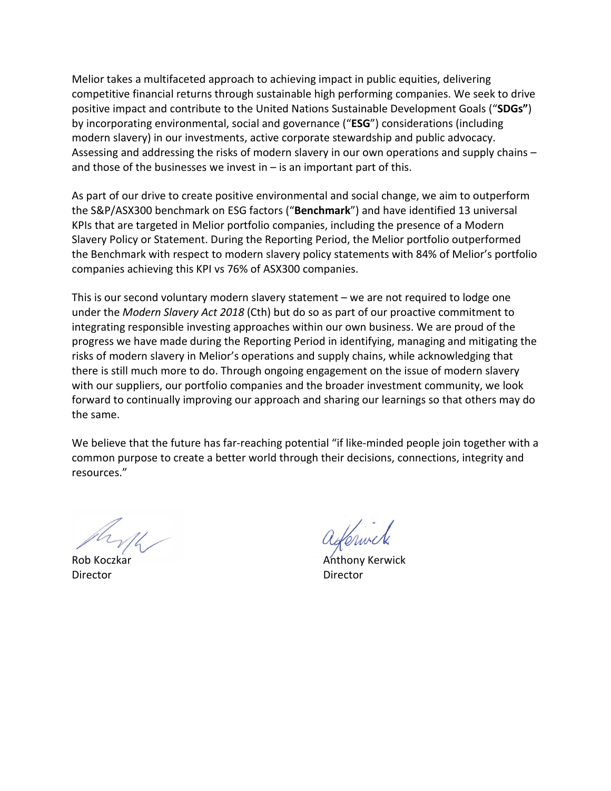Melior takes a multifaceted approach to achieving impact in public equities, delivering competitive financial returns through sustainable high performing companies. We seek to drive positive impact and contribute to the United Nations Sustainable Development Goals ("**SDGs"**) by incorporating environmental, social and governance ("**ESG**") considerations (including modern slavery) in our investments, active corporate stewardship and public advocacy. Assessing and addressing the risks of modern slavery in our own operations and supply chains – and those of the businesses we invest in  $-$  is an important part of this.

As part of our drive to create positive environmental and social change, we aim to outperform the S&P/ASX300 benchmark on ESG factors ("**Benchmark**") and have identified 13 universal KPIs that are targeted in Melior portfolio companies, including the presence of a Modern Slavery Policy or Statement. During the Reporting Period, the Melior portfolio outperformed the Benchmark with respect to modern slavery policy statements with 84% of Melior's portfolio companies achieving this KPI vs 76% of ASX300 companies.

This is our second voluntary modern slavery statement – we are not required to lodge one under the *Modern Slavery Act 2018* (Cth) but do so as part of our proactive commitment to integrating responsible investing approaches within our own business. We are proud of the progress we have made during the Reporting Period in identifying, managing and mitigating the risks of modern slavery in Melior's operations and supply chains, while acknowledging that there is still much more to do. Through ongoing engagement on the issue of modern slavery with our suppliers, our portfolio companies and the broader investment community, we look forward to continually improving our approach and sharing our learnings so that others may do the same.

We believe that the future has far-reaching potential "if like-minded people join together with a common purpose to create a better world through their decisions, connections, integrity and resources."

Director Director

Rob Koczkar **Anthony Kerwick Anthony Kerwick**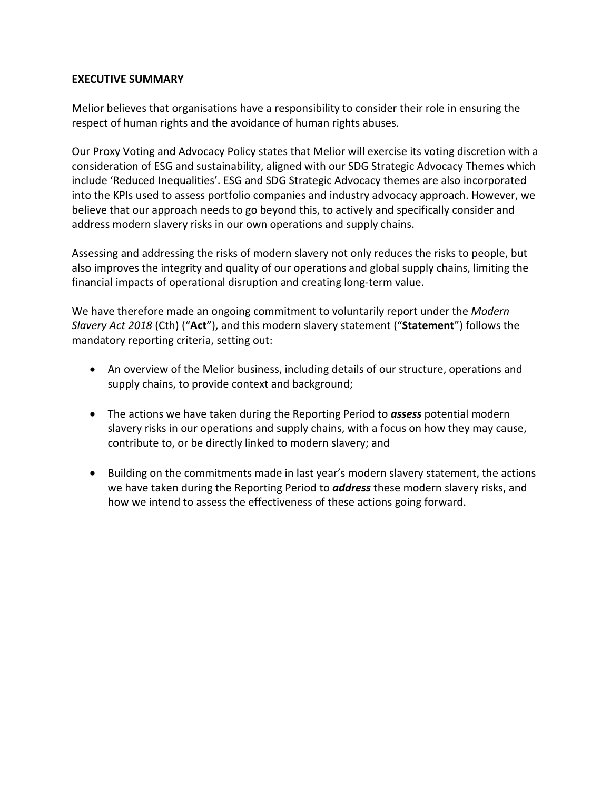## **EXECUTIVE SUMMARY**

Melior believes that organisations have a responsibility to consider their role in ensuring the respect of human rights and the avoidance of human rights abuses.

Our Proxy Voting and Advocacy Policy states that Melior will exercise its voting discretion with a consideration of ESG and sustainability, aligned with our SDG Strategic Advocacy Themes which include 'Reduced Inequalities'. ESG and SDG Strategic Advocacy themes are also incorporated into the KPIs used to assess portfolio companies and industry advocacy approach. However, we believe that our approach needs to go beyond this, to actively and specifically consider and address modern slavery risks in our own operations and supply chains.

Assessing and addressing the risks of modern slavery not only reduces the risks to people, but also improves the integrity and quality of our operations and global supply chains, limiting the financial impacts of operational disruption and creating long-term value.

We have therefore made an ongoing commitment to voluntarily report under the *Modern Slavery Act 2018* (Cth) ("**Act**"), and this modern slavery statement ("**Statement**") follows the mandatory reporting criteria, setting out:

- An overview of the Melior business, including details of our structure, operations and supply chains, to provide context and background;
- The actions we have taken during the Reporting Period to *assess* potential modern slavery risks in our operations and supply chains, with a focus on how they may cause, contribute to, or be directly linked to modern slavery; and
- Building on the commitments made in last year's modern slavery statement, the actions we have taken during the Reporting Period to *address* these modern slavery risks, and how we intend to assess the effectiveness of these actions going forward.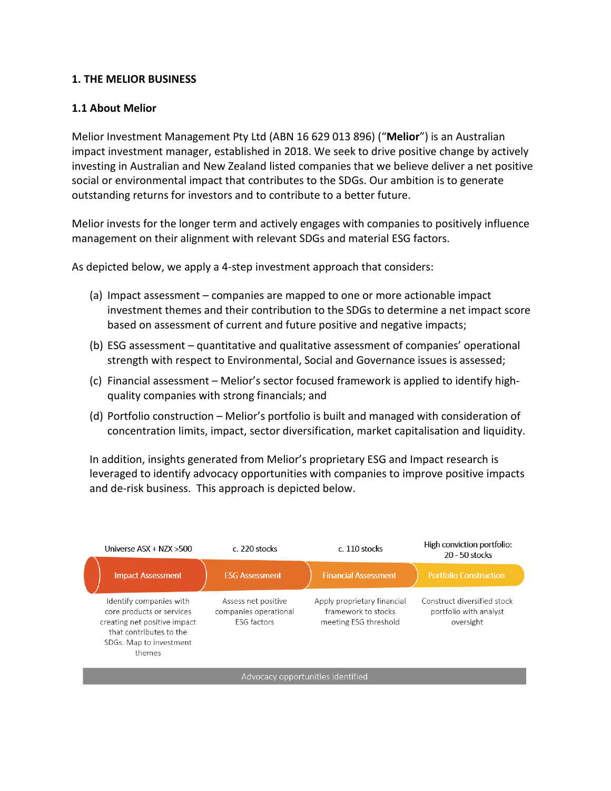## **1. THE MELIOR BUSINESS**

## **1.1 About Melior**

Melior Investment Management Pty Ltd (ABN 16 629 013 896) ("**Melior**") is an Australian impact investment manager, established in 2018. We seek to drive positive change by actively investing in Australian and New Zealand listed companies that we believe deliver a net positive social or environmental impact that contributes to the SDGs. Our ambition is to generate outstanding returns for investors and to contribute to a better future.

Melior invests for the longer term and actively engages with companies to positively influence management on their alignment with relevant SDGs and material ESG factors.

As depicted below, we apply a 4-step investment approach that considers:

- (a) Impact assessment companies are mapped to one or more actionable impact investment themes and their contribution to the SDGs to determine a net impact score based on assessment of current and future positive and negative impacts;
- (b) ESG assessment quantitative and qualitative assessment of companies' operational strength with respect to Environmental, Social and Governance issues is assessed;
- (c) Financial assessment Melior's sector focused framework is applied to identify highquality companies with strong financials; and
- (d) Portfolio construction Melior's portfolio is built and managed with consideration of concentration limits, impact, sector diversification, market capitalisation and liquidity.

In addition, insights generated from Melior's proprietary ESG and Impact research is leveraged to identify advocacy opportunities with companies to improve positive impacts and de-risk business. This approach is depicted below.

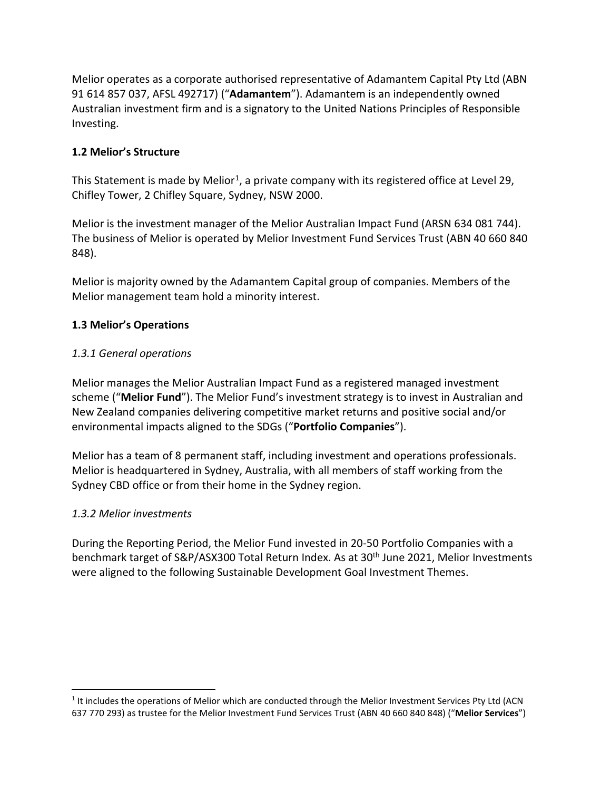Melior operates as a corporate authorised representative of Adamantem Capital Pty Ltd (ABN 91 614 857 037, AFSL 492717) ("**Adamantem**"). Adamantem is an independently owned Australian investment firm and is a signatory to the United Nations Principles of Responsible Investing.

# **1.2 Melior's Structure**

This Statement is made by Melior<sup>1</sup>, a private company with its registered office at Level 29, Chifley Tower, 2 Chifley Square, Sydney, NSW 2000.

Melior is the investment manager of the Melior Australian Impact Fund (ARSN 634 081 744). The business of Melior is operated by Melior Investment Fund Services Trust (ABN 40 660 840 848).

Melior is majority owned by the Adamantem Capital group of companies. Members of the Melior management team hold a minority interest.

## **1.3 Melior's Operations**

## *1.3.1 General operations*

Melior manages the Melior Australian Impact Fund as a registered managed investment scheme ("**Melior Fund**"). The Melior Fund's investment strategy is to invest in Australian and New Zealand companies delivering competitive market returns and positive social and/or environmental impacts aligned to the SDGs ("**Portfolio Companies**").

Melior has a team of 8 permanent staff, including investment and operations professionals. Melior is headquartered in Sydney, Australia, with all members of staff working from the Sydney CBD office or from their home in the Sydney region.

### *1.3.2 Melior investments*

During the Reporting Period, the Melior Fund invested in 20-50 Portfolio Companies with a benchmark target of S&P/ASX300 Total Return Index. As at 30<sup>th</sup> June 2021, Melior Investments were aligned to the following Sustainable Development Goal Investment Themes.

<span id="page-4-0"></span><sup>&</sup>lt;sup>1</sup> It includes the operations of Melior which are conducted through the Melior Investment Services Pty Ltd (ACN 637 770 293) as trustee for the Melior Investment Fund Services Trust (ABN 40 660 840 848) ("**Melior Services**")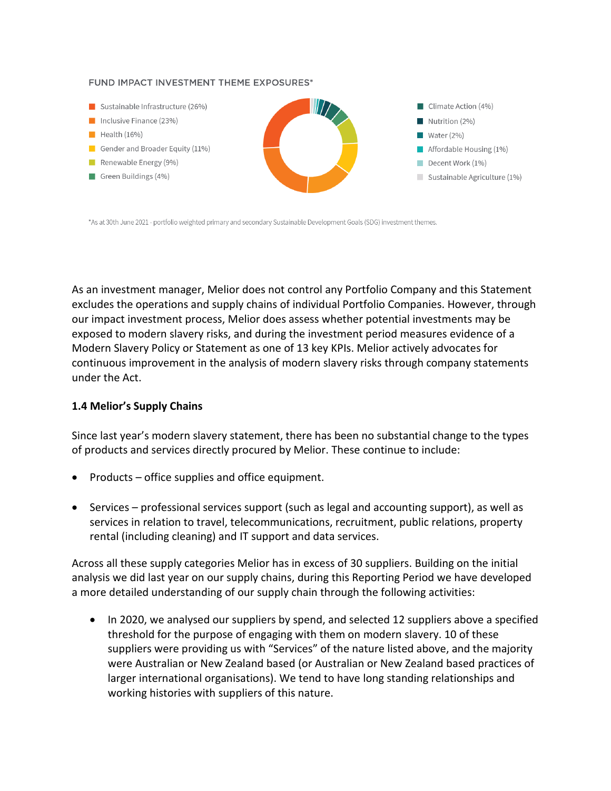#### FUND IMPACT INVESTMENT THEME EXPOSURES\*



\*As at 30th June 2021 - portfolio weighted primary and secondary Sustainable Development Goals (SDG) investment themes.

As an investment manager, Melior does not control any Portfolio Company and this Statement excludes the operations and supply chains of individual Portfolio Companies. However, through our impact investment process, Melior does assess whether potential investments may be exposed to modern slavery risks, and during the investment period measures evidence of a Modern Slavery Policy or Statement as one of 13 key KPIs. Melior actively advocates for continuous improvement in the analysis of modern slavery risks through company statements under the Act.

#### **1.4 Melior's Supply Chains**

Since last year's modern slavery statement, there has been no substantial change to the types of products and services directly procured by Melior. These continue to include:

- Products office supplies and office equipment.
- Services professional services support (such as legal and accounting support), as well as services in relation to travel, telecommunications, recruitment, public relations, property rental (including cleaning) and IT support and data services.

Across all these supply categories Melior has in excess of 30 suppliers. Building on the initial analysis we did last year on our supply chains, during this Reporting Period we have developed a more detailed understanding of our supply chain through the following activities:

• In 2020, we analysed our suppliers by spend, and selected 12 suppliers above a specified threshold for the purpose of engaging with them on modern slavery. 10 of these suppliers were providing us with "Services" of the nature listed above, and the majority were Australian or New Zealand based (or Australian or New Zealand based practices of larger international organisations). We tend to have long standing relationships and working histories with suppliers of this nature.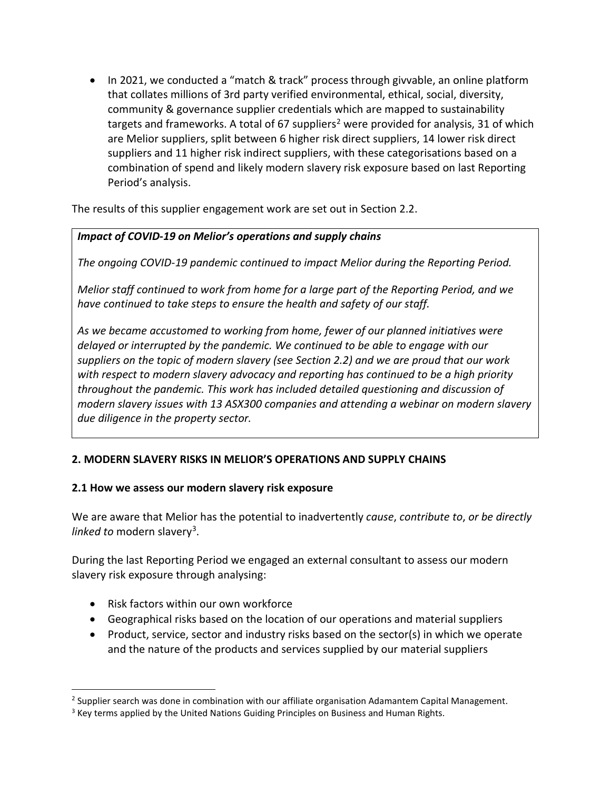• In 2021, we conducted a "match & track" process through givvable, an online platform that collates millions of 3rd party verified environmental, ethical, social, diversity, community & governance supplier credentials which are mapped to sustainability targets and frameworks. A total of 67 suppliers<sup>2</sup> were provided for analysis, 31 of which are Melior suppliers, split between 6 higher risk direct suppliers, 14 lower risk direct suppliers and 11 higher risk indirect suppliers, with these categorisations based on a combination of spend and likely modern slavery risk exposure based on last Reporting Period's analysis.

The results of this supplier engagement work are set out in Section 2.2.

# *Impact of COVID-19 on Melior's operations and supply chains*

*The ongoing COVID-19 pandemic continued to impact Melior during the Reporting Period.* 

*Melior staff continued to work from home for a large part of the Reporting Period, and we have continued to take steps to ensure the health and safety of our staff.* 

*As we became accustomed to working from home, fewer of our planned initiatives were delayed or interrupted by the pandemic. We continued to be able to engage with our suppliers on the topic of modern slavery (see Section 2.2) and we are proud that our work with respect to modern slavery advocacy and reporting has continued to be a high priority throughout the pandemic. This work has included detailed questioning and discussion of modern slavery issues with 13 ASX300 companies and attending a webinar on modern slavery due diligence in the property sector.*

# **2. MODERN SLAVERY RISKS IN MELIOR'S OPERATIONS AND SUPPLY CHAINS**

# **2.1 How we assess our modern slavery risk exposure**

We are aware that Melior has the potential to inadvertently *cause*, *contribute to*, *or be directly linked to* modern slavery<sup>3</sup>.

During the last Reporting Period we engaged an external consultant to assess our modern slavery risk exposure through analysing:

- Risk factors within our own workforce
- Geographical risks based on the location of our operations and material suppliers
- Product, service, sector and industry risks based on the sector(s) in which we operate and the nature of the products and services supplied by our material suppliers

<span id="page-6-0"></span><sup>&</sup>lt;sup>2</sup> Supplier search was done in combination with our affiliate organisation Adamantem Capital Management.

<span id="page-6-1"></span><sup>&</sup>lt;sup>3</sup> Key terms applied by the United Nations Guiding Principles on Business and Human Rights.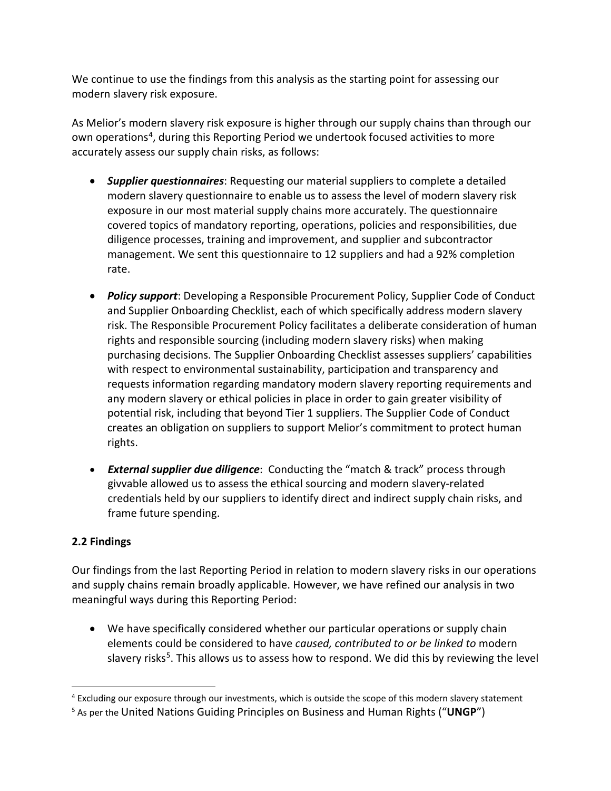We continue to use the findings from this analysis as the starting point for assessing our modern slavery risk exposure.

As Melior's modern slavery risk exposure is higher through our supply chains than through our own operations<sup>[4](#page-7-0)</sup>, during this Reporting Period we undertook focused activities to more accurately assess our supply chain risks, as follows:

- *Supplier questionnaires*: Requesting our material suppliers to complete a detailed modern slavery questionnaire to enable us to assess the level of modern slavery risk exposure in our most material supply chains more accurately. The questionnaire covered topics of mandatory reporting, operations, policies and responsibilities, due diligence processes, training and improvement, and supplier and subcontractor management. We sent this questionnaire to 12 suppliers and had a 92% completion rate.
- *Policy support*: Developing a Responsible Procurement Policy, Supplier Code of Conduct and Supplier Onboarding Checklist, each of which specifically address modern slavery risk. The Responsible Procurement Policy facilitates a deliberate consideration of human rights and responsible sourcing (including modern slavery risks) when making purchasing decisions. The Supplier Onboarding Checklist assesses suppliers' capabilities with respect to environmental sustainability, participation and transparency and requests information regarding mandatory modern slavery reporting requirements and any modern slavery or ethical policies in place in order to gain greater visibility of potential risk, including that beyond Tier 1 suppliers. The Supplier Code of Conduct creates an obligation on suppliers to support Melior's commitment to protect human rights.
- *External supplier due diligence*: Conducting the "match & track" process through givvable allowed us to assess the ethical sourcing and modern slavery-related credentials held by our suppliers to identify direct and indirect supply chain risks, and frame future spending.

# **2.2 Findings**

Our findings from the last Reporting Period in relation to modern slavery risks in our operations and supply chains remain broadly applicable. However, we have refined our analysis in two meaningful ways during this Reporting Period:

• We have specifically considered whether our particular operations or supply chain elements could be considered to have *caused, contributed to or be linked to* modern slavery risks<sup>5</sup>. This allows us to assess how to respond. We did this by reviewing the level

<span id="page-7-0"></span><sup>4</sup> Excluding our exposure through our investments, which is outside the scope of this modern slavery statement

<span id="page-7-1"></span><sup>5</sup> As per the United Nations Guiding Principles on Business and Human Rights ("**UNGP**")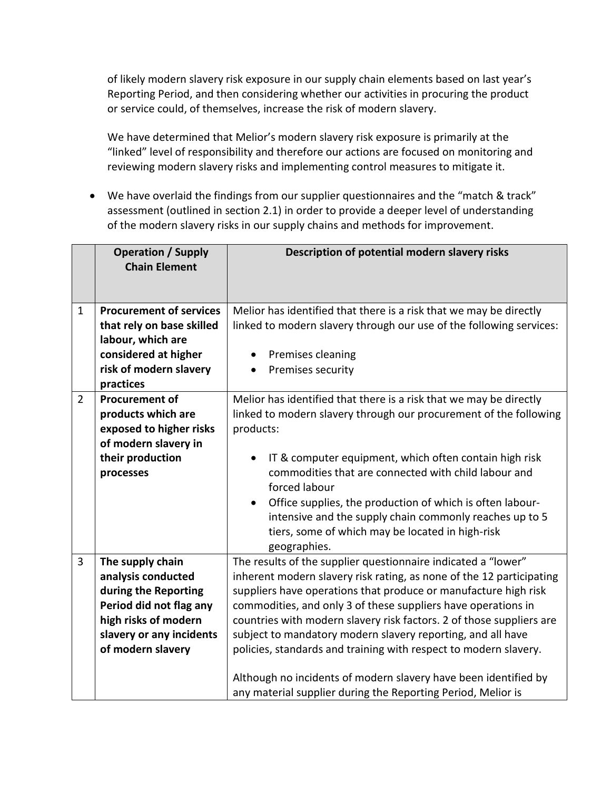of likely modern slavery risk exposure in our supply chain elements based on last year's Reporting Period, and then considering whether our activities in procuring the product or service could, of themselves, increase the risk of modern slavery.

We have determined that Melior's modern slavery risk exposure is primarily at the "linked" level of responsibility and therefore our actions are focused on monitoring and reviewing modern slavery risks and implementing control measures to mitigate it.

• We have overlaid the findings from our supplier questionnaires and the "match & track" assessment (outlined in section 2.1) in order to provide a deeper level of understanding of the modern slavery risks in our supply chains and methods for improvement.

|                | <b>Operation / Supply</b><br><b>Chain Element</b>                                                                                                                  | Description of potential modern slavery risks                                                                                                                                                                                                                                                                                                                                                                                                                                                                                                                                                                           |
|----------------|--------------------------------------------------------------------------------------------------------------------------------------------------------------------|-------------------------------------------------------------------------------------------------------------------------------------------------------------------------------------------------------------------------------------------------------------------------------------------------------------------------------------------------------------------------------------------------------------------------------------------------------------------------------------------------------------------------------------------------------------------------------------------------------------------------|
| $\mathbf{1}$   | <b>Procurement of services</b><br>that rely on base skilled<br>labour, which are<br>considered at higher<br>risk of modern slavery<br>practices                    | Melior has identified that there is a risk that we may be directly<br>linked to modern slavery through our use of the following services:<br>Premises cleaning<br>$\bullet$<br>Premises security<br>$\bullet$                                                                                                                                                                                                                                                                                                                                                                                                           |
| $\overline{2}$ | <b>Procurement of</b><br>products which are<br>exposed to higher risks<br>of modern slavery in<br>their production<br>processes                                    | Melior has identified that there is a risk that we may be directly<br>linked to modern slavery through our procurement of the following<br>products:<br>IT & computer equipment, which often contain high risk<br>commodities that are connected with child labour and<br>forced labour<br>Office supplies, the production of which is often labour-<br>$\bullet$<br>intensive and the supply chain commonly reaches up to 5<br>tiers, some of which may be located in high-risk<br>geographies.                                                                                                                        |
| $\overline{3}$ | The supply chain<br>analysis conducted<br>during the Reporting<br>Period did not flag any<br>high risks of modern<br>slavery or any incidents<br>of modern slavery | The results of the supplier questionnaire indicated a "lower"<br>inherent modern slavery risk rating, as none of the 12 participating<br>suppliers have operations that produce or manufacture high risk<br>commodities, and only 3 of these suppliers have operations in<br>countries with modern slavery risk factors. 2 of those suppliers are<br>subject to mandatory modern slavery reporting, and all have<br>policies, standards and training with respect to modern slavery.<br>Although no incidents of modern slavery have been identified by<br>any material supplier during the Reporting Period, Melior is |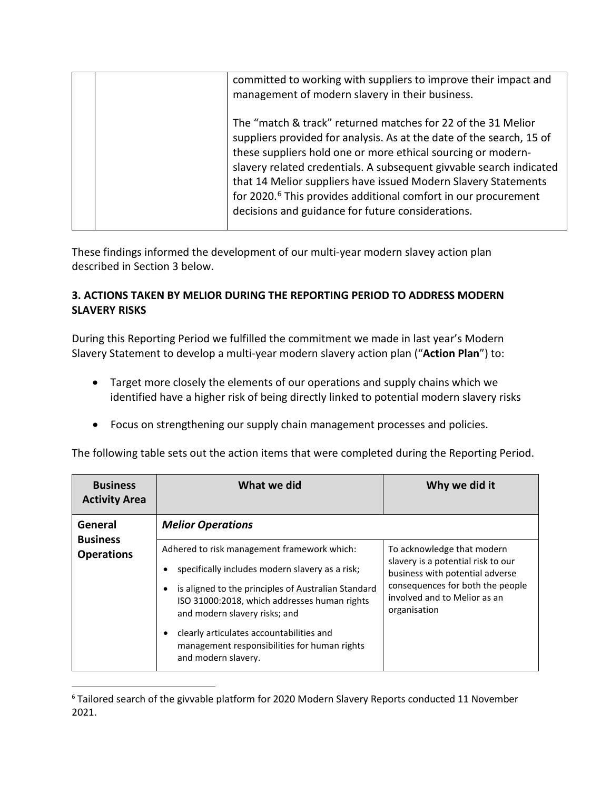| committed to working with suppliers to improve their impact and<br>management of modern slavery in their business.                                                                                                                                                                                                                                                                                                                                                               |
|----------------------------------------------------------------------------------------------------------------------------------------------------------------------------------------------------------------------------------------------------------------------------------------------------------------------------------------------------------------------------------------------------------------------------------------------------------------------------------|
| The "match & track" returned matches for 22 of the 31 Melior<br>suppliers provided for analysis. As at the date of the search, 15 of<br>these suppliers hold one or more ethical sourcing or modern-<br>slavery related credentials. A subsequent givvable search indicated<br>that 14 Melior suppliers have issued Modern Slavery Statements<br>for 2020. <sup>6</sup> This provides additional comfort in our procurement<br>decisions and guidance for future considerations. |

These findings informed the development of our multi-year modern slavey action plan described in Section 3 below.

# **3. ACTIONS TAKEN BY MELIOR DURING THE REPORTING PERIOD TO ADDRESS MODERN SLAVERY RISKS**

During this Reporting Period we fulfilled the commitment we made in last year's Modern Slavery Statement to develop a multi-year modern slavery action plan ("**Action Plan**") to:

- Target more closely the elements of our operations and supply chains which we identified have a higher risk of being directly linked to potential modern slavery risks
- Focus on strengthening our supply chain management processes and policies.

| The following table sets out the action items that were completed during the Reporting Period. |  |
|------------------------------------------------------------------------------------------------|--|
|------------------------------------------------------------------------------------------------|--|

| <b>Business</b><br><b>Activity Area</b> | What we did                                                                                                                          | Why we did it                                                                    |
|-----------------------------------------|--------------------------------------------------------------------------------------------------------------------------------------|----------------------------------------------------------------------------------|
| General<br><b>Business</b>              | <b>Melior Operations</b>                                                                                                             |                                                                                  |
| <b>Operations</b>                       | Adhered to risk management framework which:                                                                                          | To acknowledge that modern                                                       |
|                                         | specifically includes modern slavery as a risk;                                                                                      | slavery is a potential risk to our<br>business with potential adverse            |
|                                         | is aligned to the principles of Australian Standard<br>ISO 31000:2018, which addresses human rights<br>and modern slavery risks; and | consequences for both the people<br>involved and to Melior as an<br>organisation |
|                                         | clearly articulates accountabilities and<br>management responsibilities for human rights<br>and modern slavery.                      |                                                                                  |

<span id="page-9-0"></span><sup>&</sup>lt;sup>6</sup> Tailored search of the givvable platform for 2020 Modern Slavery Reports conducted 11 November 2021.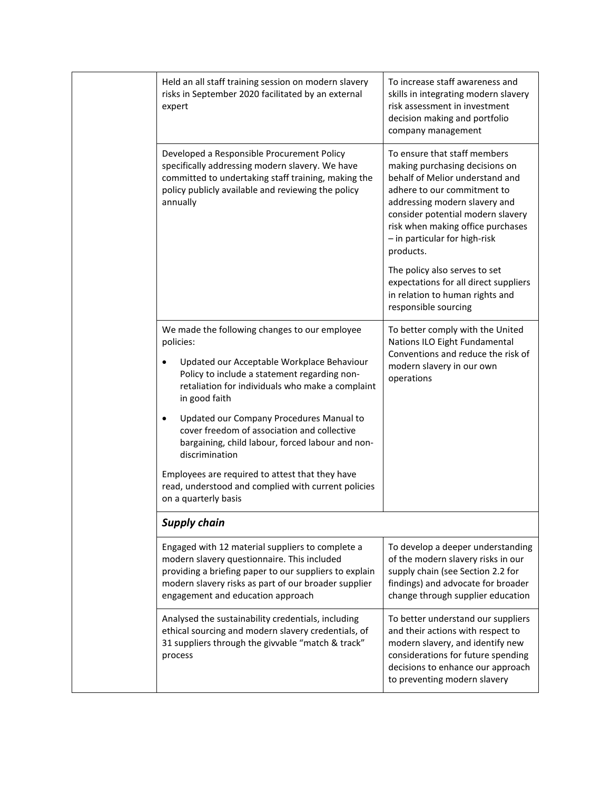| Held an all staff training session on modern slavery<br>risks in September 2020 facilitated by an external<br>expert                                                                                                                                   | To increase staff awareness and<br>skills in integrating modern slavery<br>risk assessment in investment<br>decision making and portfolio<br>company management                                                                                                                           |
|--------------------------------------------------------------------------------------------------------------------------------------------------------------------------------------------------------------------------------------------------------|-------------------------------------------------------------------------------------------------------------------------------------------------------------------------------------------------------------------------------------------------------------------------------------------|
| Developed a Responsible Procurement Policy<br>specifically addressing modern slavery. We have<br>committed to undertaking staff training, making the<br>policy publicly available and reviewing the policy<br>annually                                 | To ensure that staff members<br>making purchasing decisions on<br>behalf of Melior understand and<br>adhere to our commitment to<br>addressing modern slavery and<br>consider potential modern slavery<br>risk when making office purchases<br>- in particular for high-risk<br>products. |
|                                                                                                                                                                                                                                                        | The policy also serves to set<br>expectations for all direct suppliers<br>in relation to human rights and<br>responsible sourcing                                                                                                                                                         |
| We made the following changes to our employee<br>policies:                                                                                                                                                                                             | To better comply with the United<br>Nations ILO Eight Fundamental                                                                                                                                                                                                                         |
| Updated our Acceptable Workplace Behaviour<br>Policy to include a statement regarding non-<br>retaliation for individuals who make a complaint<br>in good faith                                                                                        | Conventions and reduce the risk of<br>modern slavery in our own<br>operations                                                                                                                                                                                                             |
| Updated our Company Procedures Manual to<br>cover freedom of association and collective<br>bargaining, child labour, forced labour and non-<br>discrimination                                                                                          |                                                                                                                                                                                                                                                                                           |
| Employees are required to attest that they have<br>read, understood and complied with current policies<br>on a quarterly basis                                                                                                                         |                                                                                                                                                                                                                                                                                           |
| <b>Supply chain</b>                                                                                                                                                                                                                                    |                                                                                                                                                                                                                                                                                           |
| Engaged with 12 material suppliers to complete a<br>modern slavery questionnaire. This included<br>providing a briefing paper to our suppliers to explain<br>modern slavery risks as part of our broader supplier<br>engagement and education approach | To develop a deeper understanding<br>of the modern slavery risks in our<br>supply chain (see Section 2.2 for<br>findings) and advocate for broader<br>change through supplier education                                                                                                   |
| Analysed the sustainability credentials, including<br>ethical sourcing and modern slavery credentials, of<br>31 suppliers through the givvable "match & track"<br>process                                                                              | To better understand our suppliers<br>and their actions with respect to<br>modern slavery, and identify new<br>considerations for future spending<br>decisions to enhance our approach<br>to preventing modern slavery                                                                    |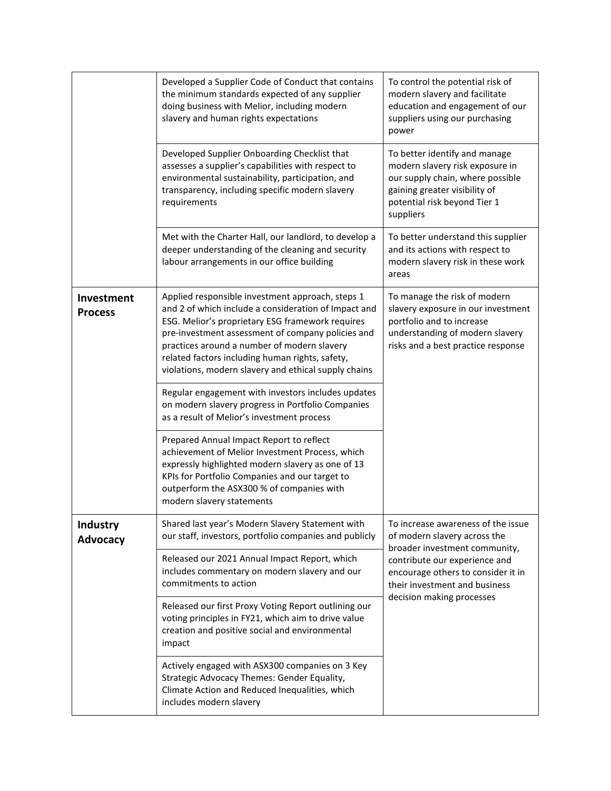|                              | Developed a Supplier Code of Conduct that contains<br>the minimum standards expected of any supplier<br>doing business with Melior, including modern<br>slavery and human rights expectations                                                                                                                                                                               | To control the potential risk of<br>modern slavery and facilitate<br>education and engagement of our<br>suppliers using our purchasing<br>power                                    |
|------------------------------|-----------------------------------------------------------------------------------------------------------------------------------------------------------------------------------------------------------------------------------------------------------------------------------------------------------------------------------------------------------------------------|------------------------------------------------------------------------------------------------------------------------------------------------------------------------------------|
|                              | Developed Supplier Onboarding Checklist that<br>assesses a supplier's capabilities with respect to<br>environmental sustainability, participation, and<br>transparency, including specific modern slavery<br>requirements                                                                                                                                                   | To better identify and manage<br>modern slavery risk exposure in<br>our supply chain, where possible<br>gaining greater visibility of<br>potential risk beyond Tier 1<br>suppliers |
|                              | Met with the Charter Hall, our landlord, to develop a<br>deeper understanding of the cleaning and security<br>labour arrangements in our office building                                                                                                                                                                                                                    | To better understand this supplier<br>and its actions with respect to<br>modern slavery risk in these work<br>areas                                                                |
| Investment<br><b>Process</b> | Applied responsible investment approach, steps 1<br>and 2 of which include a consideration of Impact and<br>ESG. Melior's proprietary ESG framework requires<br>pre-investment assessment of company policies and<br>practices around a number of modern slavery<br>related factors including human rights, safety,<br>violations, modern slavery and ethical supply chains | To manage the risk of modern<br>slavery exposure in our investment<br>portfolio and to increase<br>understanding of modern slavery<br>risks and a best practice response           |
|                              | Regular engagement with investors includes updates<br>on modern slavery progress in Portfolio Companies<br>as a result of Melior's investment process                                                                                                                                                                                                                       |                                                                                                                                                                                    |
|                              | Prepared Annual Impact Report to reflect<br>achievement of Melior Investment Process, which<br>expressly highlighted modern slavery as one of 13<br>KPIs for Portfolio Companies and our target to<br>outperform the ASX300 % of companies with<br>modern slavery statements                                                                                                |                                                                                                                                                                                    |
| Industry<br><b>Advocacy</b>  | Shared last year's Modern Slavery Statement with<br>our staff, investors, portfolio companies and publicly                                                                                                                                                                                                                                                                  | To increase awareness of the issue<br>of modern slavery across the<br>broader investment community,                                                                                |
|                              | Released our 2021 Annual Impact Report, which<br>includes commentary on modern slavery and our<br>commitments to action                                                                                                                                                                                                                                                     | contribute our experience and<br>encourage others to consider it in<br>their investment and business                                                                               |
|                              | Released our first Proxy Voting Report outlining our<br>voting principles in FY21, which aim to drive value<br>creation and positive social and environmental<br>impact                                                                                                                                                                                                     | decision making processes                                                                                                                                                          |
|                              | Actively engaged with ASX300 companies on 3 Key<br>Strategic Advocacy Themes: Gender Equality,<br>Climate Action and Reduced Inequalities, which<br>includes modern slavery                                                                                                                                                                                                 |                                                                                                                                                                                    |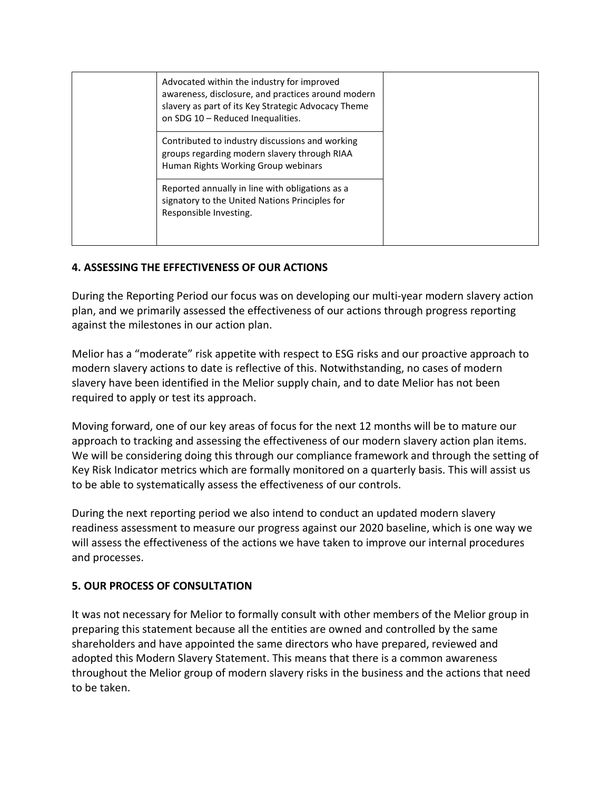| Advocated within the industry for improved<br>awareness, disclosure, and practices around modern<br>slavery as part of its Key Strategic Advocacy Theme<br>on SDG 10 - Reduced Inequalities. |  |
|----------------------------------------------------------------------------------------------------------------------------------------------------------------------------------------------|--|
| Contributed to industry discussions and working<br>groups regarding modern slavery through RIAA<br>Human Rights Working Group webinars                                                       |  |
| Reported annually in line with obligations as a<br>signatory to the United Nations Principles for<br>Responsible Investing.                                                                  |  |

# **4. ASSESSING THE EFFECTIVENESS OF OUR ACTIONS**

During the Reporting Period our focus was on developing our multi-year modern slavery action plan, and we primarily assessed the effectiveness of our actions through progress reporting against the milestones in our action plan.

Melior has a "moderate" risk appetite with respect to ESG risks and our proactive approach to modern slavery actions to date is reflective of this. Notwithstanding, no cases of modern slavery have been identified in the Melior supply chain, and to date Melior has not been required to apply or test its approach.

Moving forward, one of our key areas of focus for the next 12 months will be to mature our approach to tracking and assessing the effectiveness of our modern slavery action plan items. We will be considering doing this through our compliance framework and through the setting of Key Risk Indicator metrics which are formally monitored on a quarterly basis. This will assist us to be able to systematically assess the effectiveness of our controls.

During the next reporting period we also intend to conduct an updated modern slavery readiness assessment to measure our progress against our 2020 baseline, which is one way we will assess the effectiveness of the actions we have taken to improve our internal procedures and processes.

# **5. OUR PROCESS OF CONSULTATION**

It was not necessary for Melior to formally consult with other members of the Melior group in preparing this statement because all the entities are owned and controlled by the same shareholders and have appointed the same directors who have prepared, reviewed and adopted this Modern Slavery Statement. This means that there is a common awareness throughout the Melior group of modern slavery risks in the business and the actions that need to be taken.